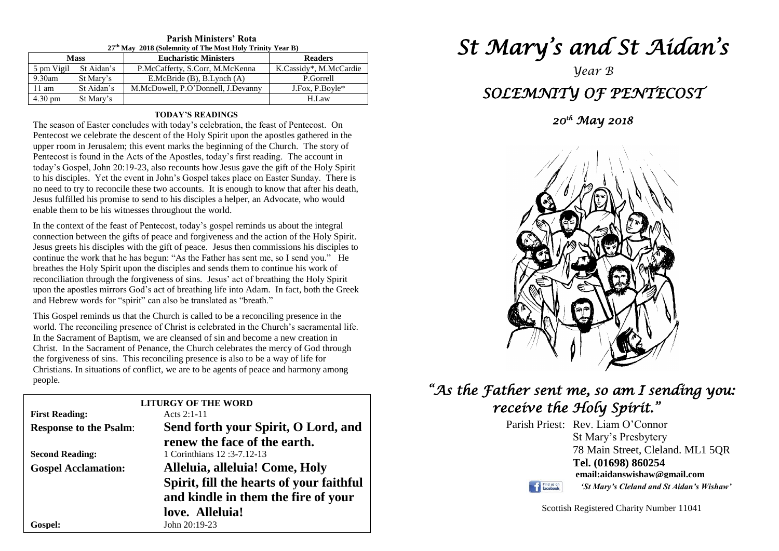| 27 <sup>th</sup> May 2018 (Solemnity of The Most Holy Trinity Year B) |            |                                    |                        |  |  |  |
|-----------------------------------------------------------------------|------------|------------------------------------|------------------------|--|--|--|
| <b>Mass</b>                                                           |            | <b>Eucharistic Ministers</b>       | <b>Readers</b>         |  |  |  |
| 5 pm Vigil                                                            | St Aidan's | P.McCafferty, S.Corr, M.McKenna    | K.Cassidy*, M.McCardie |  |  |  |
| $9.30$ am                                                             | St Mary's  | E.McBride $(B)$ , B.Lynch $(A)$    | P.Gorrell              |  |  |  |
| 11 am                                                                 | St Aidan's | M.McDowell, P.O'Donnell, J.Devanny | J.Fox, P.Boyle*        |  |  |  |
| $4.30 \text{ pm}$                                                     | St Mary's  |                                    | H.Law                  |  |  |  |

# **Parish Ministers' Rota**

### **TODAY'S READINGS**

The season of Easter concludes with today's celebration, the feast of Pentecost. On Pentecost we celebrate the descent of the Holy Spirit upon the apostles gathered in the upper room in Jerusalem; this event marks the beginning of the Church. The story of Pentecost is found in the Acts of the Apostles, today's first reading. The account in today's Gospel, John 20:19-23, also recounts how Jesus gave the gift of the Holy Spirit to his disciples. Yet the event in John's Gospel takes place on Easter Sunday. There is no need to try to reconcile these two accounts. It is enough to know that after his death, Jesus fulfilled his promise to send to his disciples a helper, an Advocate, who would enable them to be his witnesses throughout the world.

upon the apostles mirrors God's act of breathing life into Adam. In fact, both the Greek and Hebrew words for "spirit" can also be translated as "breath." In the context of the feast of Pentecost, today's gospel reminds us about the integral connection between the gifts of peace and forgiveness and the action of the Holy Spirit. Jesus greets his disciples with the gift of peace. Jesus then commissions his disciples to continue the work that he has begun: "As the Father has sent me, so I send you." He breathes the Holy Spirit upon the disciples and sends them to continue his work of reconciliation through the forgiveness of sins. Jesus' act of breathing the Holy Spirit and Hebrew words for "spirit" can also be translated as "breath."

I his Gospel reminds us that the Church is called to be a reconciling presence in the<br>world. The reconciling presence of Christ is celebrated in the Church's sacramental life.<br>In the Secrepant of Pentium, we are cleaned of Christ. In the Sacrament of Penance, the Church celebrates the mercy of God the forgiveness of sins. This reconciling presence is also to be a way of life for  This Gospel reminds us that the Church is called to be a reconciling presence in the In the Sacrament of Baptism, we are cleansed of sin and become a new creation in Christ. In the Sacrament of Penance, the Church celebrates the mercy of God through Christians. In situations of conflict, we are to be agents of peace and harmony among people.

| <b>LITURGY OF THE WORD</b>    |                                                                                 |  |  |  |  |
|-------------------------------|---------------------------------------------------------------------------------|--|--|--|--|
| <b>First Reading:</b>         | Acts $2:1-11$                                                                   |  |  |  |  |
| <b>Response to the Psalm:</b> | Send forth your Spirit, O Lord, and                                             |  |  |  |  |
|                               | renew the face of the earth.                                                    |  |  |  |  |
| <b>Second Reading:</b>        | 1 Corinthians 12:3-7.12-13                                                      |  |  |  |  |
| <b>Gospel Acclamation:</b>    | Alleluia, alleluia! Come, Holy                                                  |  |  |  |  |
|                               | Spirit, fill the hearts of your faithful<br>and kindle in them the fire of your |  |  |  |  |
|                               | love. Alleluia!                                                                 |  |  |  |  |
| Gospel:                       | John 20:19-23                                                                   |  |  |  |  |

# *St Mary's and St Aidan's*

# *Year B SOLEMNITY OF PENTECOST*

*20th May 2018* 



# *"As the Father sent me, so am I sending you: receive the Holy Spirit."*

Parish Priest: Rev. Liam O'Connor St Mary's Presbytery 78 Main Street, Cleland. ML1 5QR **Tel. (01698) 860254 email:aidanswishaw@gmail.com**

Find us on

*'St Mary's Cleland and St Aidan's Wishaw'*

Scottish Registered Charity Number 11041